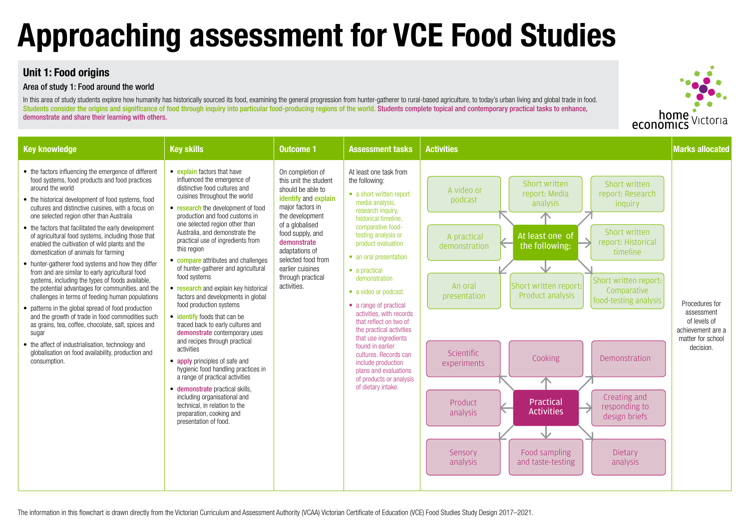## **Unit 1: Food origins**

#### Area of study 1: Food around the world

In this area of study students explore how humanity has historically sourced its food, examining the general progression from hunter-gatherer to rural-based agriculture, to today's urban living and global trade in food. Students consider the origins and significance of food through inquiry into particular food-producing regions of the world. Students complete topical and contemporary practical tasks to enhance, demonstrate and share their learning with others.

# **Approaching assessment for VCE Food Studies**

| <b>Key knowledge</b>                                                                                                                                                                                                                                                                                                                                                                                                                                                                                                                                                                                                                                                                                                                                                                                                                                                                                                                                                                                                                                                  | <b>Key skills</b>                                                                                                                                                                                                                                                                                                                                                                                                                                                                                                                                                                                                                                                                                                                                                                                                                                                                                                                                              | <b>Outcome 1</b>                                                                                                                                                                                                                                                                    | <b>Assessment tasks</b>                                                                                                                                                                                                                                                                                                                                                                                                                                                                                                                                                       | <b>Activities</b>                                                                                                                                                                                                                                                                                                                                                                                                                                                                                                                                                                                                                                                     | <b>Marks allocated</b>                                                                              |
|-----------------------------------------------------------------------------------------------------------------------------------------------------------------------------------------------------------------------------------------------------------------------------------------------------------------------------------------------------------------------------------------------------------------------------------------------------------------------------------------------------------------------------------------------------------------------------------------------------------------------------------------------------------------------------------------------------------------------------------------------------------------------------------------------------------------------------------------------------------------------------------------------------------------------------------------------------------------------------------------------------------------------------------------------------------------------|----------------------------------------------------------------------------------------------------------------------------------------------------------------------------------------------------------------------------------------------------------------------------------------------------------------------------------------------------------------------------------------------------------------------------------------------------------------------------------------------------------------------------------------------------------------------------------------------------------------------------------------------------------------------------------------------------------------------------------------------------------------------------------------------------------------------------------------------------------------------------------------------------------------------------------------------------------------|-------------------------------------------------------------------------------------------------------------------------------------------------------------------------------------------------------------------------------------------------------------------------------------|-------------------------------------------------------------------------------------------------------------------------------------------------------------------------------------------------------------------------------------------------------------------------------------------------------------------------------------------------------------------------------------------------------------------------------------------------------------------------------------------------------------------------------------------------------------------------------|-----------------------------------------------------------------------------------------------------------------------------------------------------------------------------------------------------------------------------------------------------------------------------------------------------------------------------------------------------------------------------------------------------------------------------------------------------------------------------------------------------------------------------------------------------------------------------------------------------------------------------------------------------------------------|-----------------------------------------------------------------------------------------------------|
| • the factors influencing the emergence of different<br>food systems, food products and food practices<br>around the world<br>• the historical development of food systems, food<br>cultures and distinctive cuisines, with a focus on<br>one selected region other than Australia<br>• the factors that facilitated the early development<br>of agricultural food systems, including those that<br>enabled the cultivation of wild plants and the<br>domestication of animals for farming<br>• hunter-gatherer food systems and how they differ<br>from and are similar to early agricultural food<br>systems, including the types of foods available,<br>the potential advantages for communities, and the<br>challenges in terms of feeding human populations<br>• patterns in the global spread of food production<br>and the growth of trade in food commodities such<br>as grains, tea, coffee, chocolate, salt, spices and<br>sugar<br>• the affect of industrialisation, technology and<br>globalisation on food availability, production and<br>consumption. | • explain factors that have<br>influenced the emergence of<br>distinctive food cultures and<br>cuisines throughout the world<br>• research the development of food<br>production and food customs in<br>one selected region other than<br>Australia, and demonstrate the<br>practical use of ingredients from<br>this region<br>• compare attributes and challenges<br>of hunter-gatherer and agricultural<br>food systems<br>• research and explain key historical<br>factors and developments in global<br>food production systems<br>• identify foods that can be<br>traced back to early cultures and<br>demonstrate contemporary uses<br>and recipes through practical<br>activities<br>• apply principles of safe and<br>hygienic food handling practices in<br>a range of practical activities<br>• demonstrate practical skills,<br>including organisational and<br>technical, in relation to the<br>preparation, cooking and<br>presentation of food. | On completion of<br>this unit the student<br>should be able to<br>identify and explain<br>major factors in<br>the development<br>of a globalised<br>food supply, and<br>demonstrate<br>adaptations of<br>selected food from<br>earlier cuisines<br>through practical<br>activities. | At least one task from<br>the following:<br>• a short written report:<br>media analysis,<br>research inquiry,<br>historical timeline,<br>comparative food-<br>testing analysis or<br>product evaluation<br>• an oral presentation<br>• a practical<br>demonstration<br>• a video or podcast.<br>• a range of practical<br>activities, with records<br>that reflect on two of<br>the practical activities<br>that use ingredients<br>found in earlier<br>cultures. Records can<br>include production<br>plans and evaluations<br>of products or analysis<br>of dietary intake. | Short written<br>Short written<br>A video or<br>report: Media<br>report: Research<br>podcast<br>analysis<br>inquiry<br>个<br>Short written<br>At least one of<br>A practical<br>report: Historical<br>the following:<br>demonstration<br>timeline<br>业<br>Short written report:<br>Short written report:<br>An oral<br>Comparative<br>Product analysis<br>presentation<br>food-testing analysis<br>Scientific<br>Cooking<br>Demonstration<br>experiments<br>个<br>Creating and<br>Practical<br>Product<br>responding to<br><b>Activities</b><br>analysis<br>design briefs<br>$\vee$<br>Food sampling<br>Dietary<br>Sensory<br>analysis<br>and taste-testing<br>analysis | Procedures for<br>assessment<br>of levels of<br>achievement are a<br>matter for school<br>decision. |